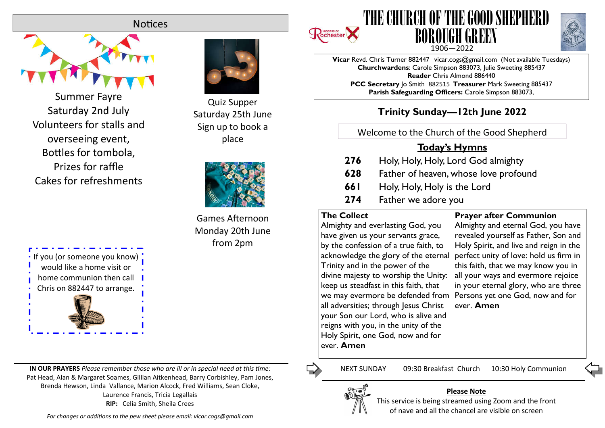## **Notices**



Summer Fayre Saturday 2nd July Volunteers for stalls and overseeing event, Bottles for tombola. Prizes for raffle Cakes for refreshments



**IN OUR PRAYERS** *Please remember those who are ill or in special need at this me:* Pat Head, Alan & Margaret Soames, Gillian Aitkenhead, Barry Corbishley, Pam Jones, Brenda Hewson, Linda Vallance, Marion Alcock, Fred Williams, Sean Cloke, Laurence Francis, Tricia Legallais **RIP:** Celia Smith, Sheila Crees



Quiz Supper Saturday 25th June Sign up to book a place



Games Afternoon Monday 20th June from 2pm





**Vicar** Revd. Chris Turner 882447 vicar.cogs@gmail.com (Not available Tuesdays) **Churchwardens**: Carole Simpson 883073, Julie Sweeting 885437 **Reader** Chris Almond 886440 **PCC Secretary** Jo Smith 882515 **Treasurer** Mark Sweeting 885437 **Parish Safeguarding Officers:** Carole Simpson 883073,

# **Trinity Sunday—12th June 2022**

Welcome to the Church of the Good Shepherd

# **Today's Hymns**

- **276** Holy, Holy, Holy, Lord God almighty
- **628** Father of heaven, whose love profound
- **661** Holy, Holy, Holy is the Lord
- **274** Father we adore you

### **The Collect**

Almighty and everlasting God, you have given us your servants grace, by the confession of a true faith, to acknowledge the glory of the eternal Trinity and in the power of the divine majesty to worship the Unity: keep us steadfast in this faith, that we may evermore be defended from Persons yet one God, now and for all adversities; through Jesus Christ your Son our Lord, who is alive and reigns with you, in the unity of the Holy Spirit, one God, now and for ever. **Amen**

### **Prayer after Communion**

Almighty and eternal God, you have revealed yourself as Father, Son and Holy Spirit, and live and reign in the perfect unity of love: hold us firm in this faith, that we may know you in all your ways and evermore rejoice in your eternal glory, who are three ever. **Amen**

NEXT SUNDAY 09:30 Breakfast Church 10:30 Holy Communion



#### **Please Note**

This service is being streamed using Zoom and the front of nave and all the chancel are visible on screen